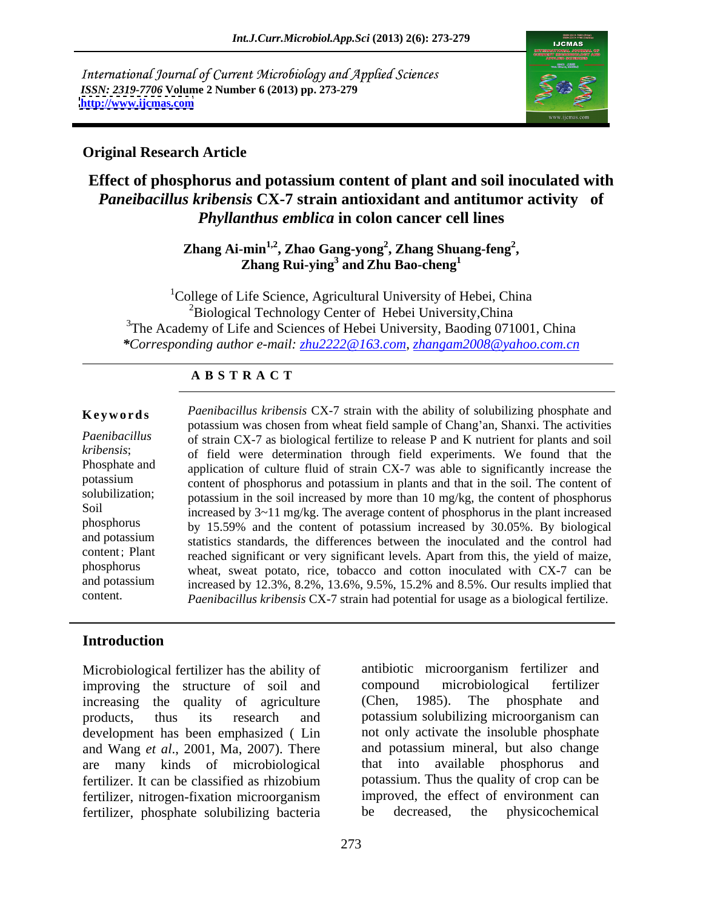International Journal of Current Microbiology and Applied Sciences *ISSN: 2319-7706* **Volume 2 Number 6 (2013) pp. 273-279 <http://www.ijcmas.com>**



#### **Original Research Article**

# **Effect of phosphorus and potassium content of plant and soil inoculated with**  *Paneibacillus kribensis* **CX-7 strain antioxidant and antitumor activity of**  *Phyllanthus emblica* **in colon cancer cell lines**

Zhang Ai-min<sup>1,2</sup>, Zhao Gang-yong<sup>2</sup>, Zhang Shuang-feng<sup>2</sup>,<br>Zhang Rui-ying<sup>3</sup> and Zhu Bao-cheng<sup>1</sup> **, Zhang Shuang-feng<sup>2</sup>** <sup>-</sup>min<sup>1,2</sup>, Zhao Gang-yong<sup>2</sup>, Zhang Shuang-feng<sup>2</sup>,<br>Zhang Rui-ying<sup>3</sup> and Zhu Bao-cheng<sup>1</sup>  **and Zhu Bao-cheng<sup>1</sup>**

<sup>1</sup>College of Life Science, Agricultural University of Hebei, China  ${}^{2}$ Biological Technology Center of Hebei University, China <sup>3</sup>The Academy of Life and Sciences of Hebei University, Baoding 071001, China *\*Corresponding author e-mail: zhu2222@163.com*, *zhangam2008@yahoo.com.cn*

#### **A B S T R A C T**

and potassium statistics standards, the differences between the inoculated and the control had **Keywords** Paenibacillus kribensis CX-7 strain with the ability of solubilizing phosphate and *Paenibacillus* of strain CX-7 as biological fertilize to release P and K nutrient for plants and soil *kribensis*; of field were determination through field experiments. We found that the Phosphate and application of culture fluid of strain CX-7 was able to significantly increase the potassium content of phosphorus and potassium in plants and that in the soil. The content of solubilization; potassium in the soil increased by more than 10 mg/kg, the content of phosphorus Soil increased by 3~11 mg/kg. The average content of phosphorus in the plant increased phosphorus by 15.59% and the content of potassium increased by 30.05%. By biological content; Plant reached significant or very significant levels. Apart from this, the yield of maize, phosphorus wheat, sweat potato, rice, tobacco and cotton inoculated with CX-7 can be and potassium increased by  $12.3\%$ ,  $8.2\%$ ,  $13.6\%$ ,  $9.5\%$ ,  $15.2\%$  and  $8.5\%$ . Our results implied that **Keywords** *Paenibacillus kribensis* CX-7 strain with the ability of solubilizing phosphate and potassium was chosen from wheat field sample of Chang'an, Shanxi. The activities *kribensis*; of strain CX-7 as biological fer potassium was chosen from wheat field sample of Chang'an, Shanxi. The activities *Paenibacillus kribensis* CX-7 strain had potential for usage as a biological fertilize.

# **Introduction**

Microbiological fertilizer has the ability of improving the structure of soil and compound microbiological fertilizer increasing the quality of agriculture (Chen, 1985). The phosphate and products, thus its research and potassium solubilizing microorganism can development has been emphasized ( Lin and Wang *et al.*, 2001, Ma, 2007). There and potassium mineral, but also change<br>are many kinds of microbiological that into available phosphorus and are many kinds of microbiological fertilizer. It can be classified as rhizobium fertilizer, nitrogen-fixation microorganism fertilizer, phosphate solubilizing bacteria be decreased, the physicochemical

antibiotic microorganism fertilizer and compound microbiological fertilizer (Chen, 1985). The phosphate and not only activate the insoluble phosphate and potassium mineral, but also change that into available phosphorus potassium. Thus the quality of crop can be improved, the effect of environment can be decreased, the physicochemical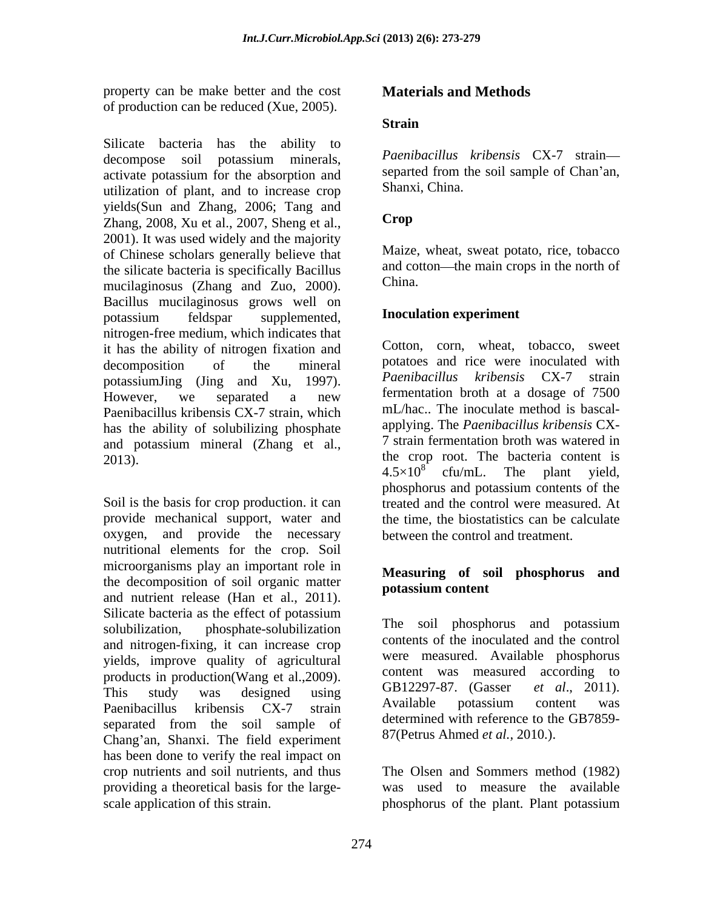property can be make better and the cost of production can be reduced (Xue, 2005).

Silicate bacteria has the ability to decompose soil potassium minerals, *Paenibacillus kribensis* CX-7 strain activate potassium for the absorption and utilization of plant, and to increase crop yields(Sun and Zhang, 2006; Tang and<br>Zhang 2008 Xu et al. 2007 Sheng et al. **Crop** Zhang, 2008, Xu et al., 2007, Sheng et al., 2001). It was used widely and the majority of Chinese scholars generally believe that the silicate bacteria is specifically Bacillus and computering and computer and computer and computer and computer  $(7 \text{hence and } 7 \text{uence})$  China. mucilaginosus (Zhang and Zuo, 2000). Bacillus mucilaginosus grows well on potassium feldspar supplemented, **Inoculation experiment** nitrogen-free medium, which indicates that it has the ability of nitrogen fixation and decomposition of the mineral potatoes and rice were inoculated with potassiumJing (Jing and Xu, 1997). Paenibacillus kribensis CX-7 strain However, we separated a new fermentation broth at a dosage of 7500 Paenibacillus kribensis CX-7 strain, which has the ability of solubilizing phosphate and potassium mineral (Zhang et al., 2013). the crop root. The bacteria content is

Soil is the basis for crop production. it can treated and the control were measured. At provide mechanical support, water and oxygen, and provide the necessary nutritional elements for the crop. Soil microorganisms play an important role in the decomposition of soil organic matter and nutrient release (Han et al., 2011). Silicate bacteria as the effect of potassium solubilization, phosphate-solubilization The soil phosphorus and potassium and nitrogen-fixing, it can increase crop yields, improve quality of agricultural products in production(Wang et al., 2009). Content was measured according to<br>This study was designed wing GB12297-87. (Gasser *et al.*, 2011). This study was designed using  $UB12297-87$ . (Gasser et al., 2011). Paenibacillus kribensis CX-7 strain Avaliable potassium content was separated from the soil sample of Chang'an, Shanxi. The field experiment has been done to verify the real impact on crop nutrients and soil nutrients, and thus The Olsen and Sommers method (1982) providing a theoretical basis for the large-

# **Materials and Methods**

### **Strain**

*Paenibacillus kribensis* CX-7 strain separted from the soil sample of Chan'an, Shanxi, China.

# **Crop**

Maize, wheat, sweat potato, rice, tobacco and cotton—the main crops in the north of China.

#### **Inoculation experiment**

Cotton, corn, wheat, tobacco, sweet potatoes and rice were inoculated with *Paenibacillus kribensis* CX-7 fermentation broth at a dosage of 7500 mL/hac.. The inoculate method is bascal applying. The *Paenibacillus kribensis* CX- 7 strain fermentation broth was watered in  $4.5 \times 10^{8}$  cfu/mL. The plant yield, cfu/mL. The plant yield, phosphorus and potassium contents of the the time, the biostatistics can be calculate between the control and treatment.

### **Measuring of soil phosphorus and potassium content**

contents of the inoculated and the control were measured. Available phosphorus content was measured according to GB12297-87. (Gasser Available potassium content was determined with reference to the GB7859- 87(Petrus Ahmed *et al.,* 2010.).

scale application of this strain. phosphorus of the plant. Plant potassiumwas used to measure the available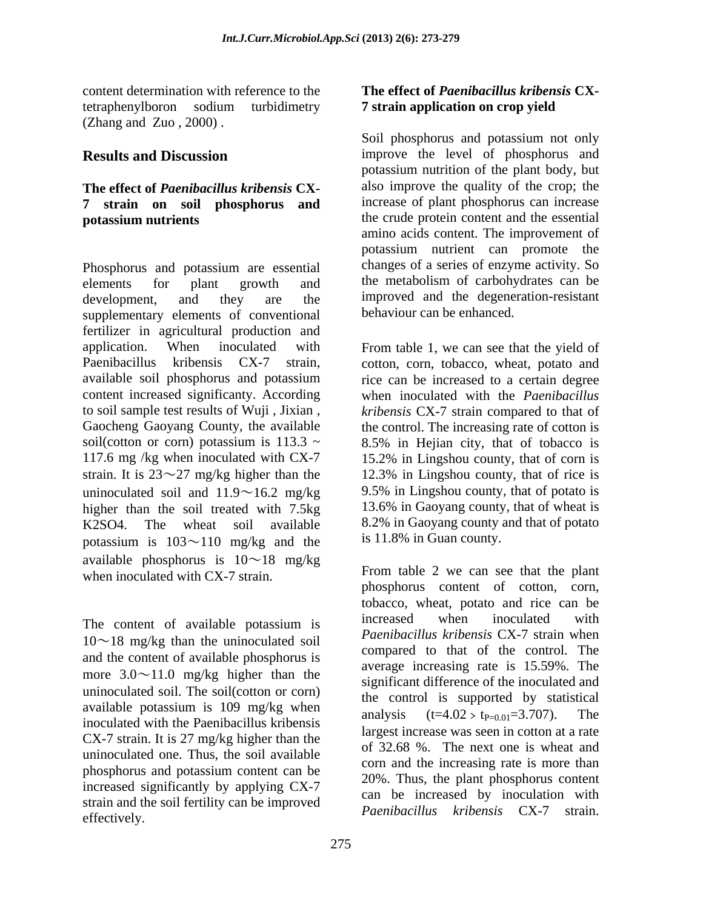content determination with reference to the tetraphenylboron sodium turbidimetry (Zhang and Zuo , 2000) .

# **The effect of** *Paenibacillus kribensis* **CX- 7 strain on soil phosphorus and**

Phosphorus and potassium are essential elements for plant growth and the metabolism of carbohydrates can be development, and they are the improved and the degeneration-resistant supplementary elements of conventional fertilizer in agricultural production and application. When inoculated with From table 1, we can see that the yield of Paenibacillus kribensis CX-7 strain, cotton, corn, tobacco, wheat, potato and available soil phosphorus and potassium rice can be increased to a certain degree content increased significanty. According when inoculated with the *Paenibacillus*  to soil sample test results of Wuji , Jixian , *kribensis* CX-7 strain compared to that of Gaocheng Gaoyang County, the available the control. The increasing rate of cotton is soil(cotton or corn) potassium is  $113.3 \sim 8.5\%$  in Heilan city, that of tobacco is 117.6 mg /kg when inoculated with CX-7 15.2% in Lingshou county, that of corn is strain. It is  $23^{\sim}27$  mg/kg higher than the 12.3% in Lingshou county, that of rice is uninoculated soil and  $11.9 \sim 16.2$  mg/kg higher than the soil treated with 7.5kg K2SO4. The wheat soil available potassium is  $103 \sim 110$  mg/kg and the available phosphorus is  $10 \sim 18$  mg/kg when inoculated with CX-7 strain.

 $10 \sim 18$  mg/kg than the uninoculated soil and the content of available phosphorus is more  $3.0 \sim 11.0$  mg/kg higher than the uninoculated soil. The soil(cotton or corn) available potassium is  $109 \text{ mg/kg}$  when analysis  $(t=4.02 > t_{P=0.01}=3.707)$ . The inoculated with the Paenibacillus kribensis CX-7 strain. It is 27 mg/kg higher than the uninoculated one. Thus, the soil available phosphorus and potassium content can be increased significantly by applying CX-7 strain and the soil fertility can be improved effectively. The above the contractions of the contractions of the contractions of the contractions of the contractions of the contractions of the contractions of the contractions of the contractions of the contractions of

# **The effect of** *Paenibacillus kribensis* **CX- 7 strain application on crop yield**

**Results and Discussion** improve the level of phosphorus and **potassium nutrients** the crude protein content and the essential Soil phosphorus and potassium not only potassium nutrition of the plant body, but also improve the quality of the crop; the increase of plant phosphorus can increase amino acids content. The improvement of potassium nutrient can promote the changes of a series of enzyme activity. So behaviour can be enhanced.

> 8.5% in Hejian city, that of tobacco is 9.5% in Lingshou county, that of potato is 13.6% in Gaoyang county, that of wheat is 8.2% in Gaoyang county and that of potato is 11.8% in Guan county.

The content of available potassium is increased when inoculated with From table 2 we can see that the plant phosphorus content of cotton, corn, tobacco, wheat, potato and rice can be increased when inoculated with *Paenibacillus kribensis* CX-7 strain when compared to that of the control. The average increasing rate is 15.59%. The significant difference of the inoculated and the control is supported by statistical analysis  $(t=4.02 > t_{P=0.01}=3.707)$ . The largest increase was seen in cotton at a rate of 32.68 %. The next one is wheat and corn and the increasing rate is more than 20%. Thus, the plant phosphorus content can be increased by inoculation with *Paenibacillus kribensis* CX-7 strain.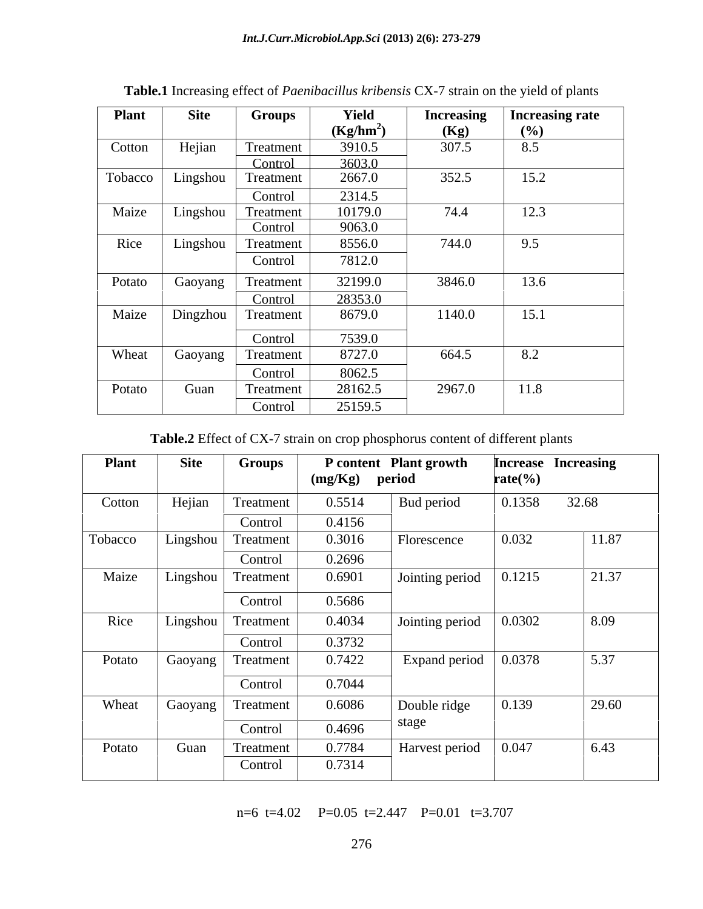| <b>Plant</b> | <b>Site</b> | <b>Groups</b> | Yield       | <b>Increasing</b> | <b>Increasing rate</b> |
|--------------|-------------|---------------|-------------|-------------------|------------------------|
|              |             |               | $(Kg/hm^2)$ | (Kg)              | (%)                    |
| Cotton       | Hejian      | Treatment     | 3910.5      | 307.5             | 8.5                    |
|              |             | Control       | 3603.0      |                   |                        |
| Tobacco      | Lingshou    | Treatment     | 2667.0      | 352.5             | 15.2                   |
|              |             | Control       | 2314.5      |                   |                        |
| Maize        | Lingshou    | Treatment     | 10179.0     | 74.4              | 12.3                   |
|              |             | Control       | 9063.0      |                   |                        |
| Rice         | Lingshou    | Treatment     | 8556.0      | 744.0             | 9.5                    |
|              |             | Control       | 7812.0      |                   |                        |
| Potato       | Gaoyang     | Treatment     | 32199.0     | 3846.0            | 13.6                   |
|              |             | Control       | 28353.0     |                   |                        |
| Maize        | Dingzhou    | Treatment     | 8679.0      | 1140.0            | 15.1                   |
|              |             |               |             |                   |                        |
|              |             | Control       | 7539.0      |                   |                        |
| Wheat        | Gaoyang     | Treatment     | 8727.0      | 664.5             | 8.2                    |
|              |             | Control       | 8062.5      |                   |                        |
| Potato       | Guan        | Treatment     | 28162.5     | 2967.0            | 11.8                   |
|              |             | Control       | 25159.5     |                   |                        |

**Table.1** Increasing effect of *Paenibacillus kribensis* CX-7 strain on the yield of plants

**Table.2** Effect of CX-7 strain on crop phosphorus content of different plants

| <b>Plant</b> | <b>Site</b> | Groups    | (mg/Kg) | P content Plant growth<br>period | $\text{rate}(\% )$ | <b>Increase Increasing</b> |
|--------------|-------------|-----------|---------|----------------------------------|--------------------|----------------------------|
| Cotton       | Hejian      | Treatment | 0.5514  | Bud period                       | 0.1358             | 32.68                      |
|              |             | Control   | 0.4156  |                                  |                    |                            |
| Tobacco      | Lingshou    | Treatment | 0.3016  | Florescence                      | 0.032              | 11.87                      |
|              |             | Control   | 0.2696  |                                  |                    |                            |
| Maize        | Lingshou    | Treatment | 0.6901  | Jointing period                  | 0.1215             | 21.37                      |
|              |             | Control   | 0.5686  |                                  |                    |                            |
| Rice         | Lingshou    | Treatment | 0.4034  | Jointing period                  | 0.0302             | 8.09                       |
|              |             | Control   | 0.3732  |                                  |                    |                            |
| Potato       | Gaoyang     | Treatment | 0.7422  | Expand period                    | 0.0378             | 5.37                       |
|              |             | Control   | 0.7044  |                                  |                    |                            |
| Wheat        | Gaoyang     | Treatment | 0.6086  | Double ridge                     | 0.139              | 29.60                      |
|              |             | Control   | 0.4696  | stage                            |                    |                            |
| Potato       | Guan        | Treatment | 0.7784  | Harvest period                   | 0.047              | 6.43                       |
|              |             | Control   | 0.7314  |                                  |                    |                            |

n=6 t=4.02 P=0.05 t=2.447 P=0.01 t=3.707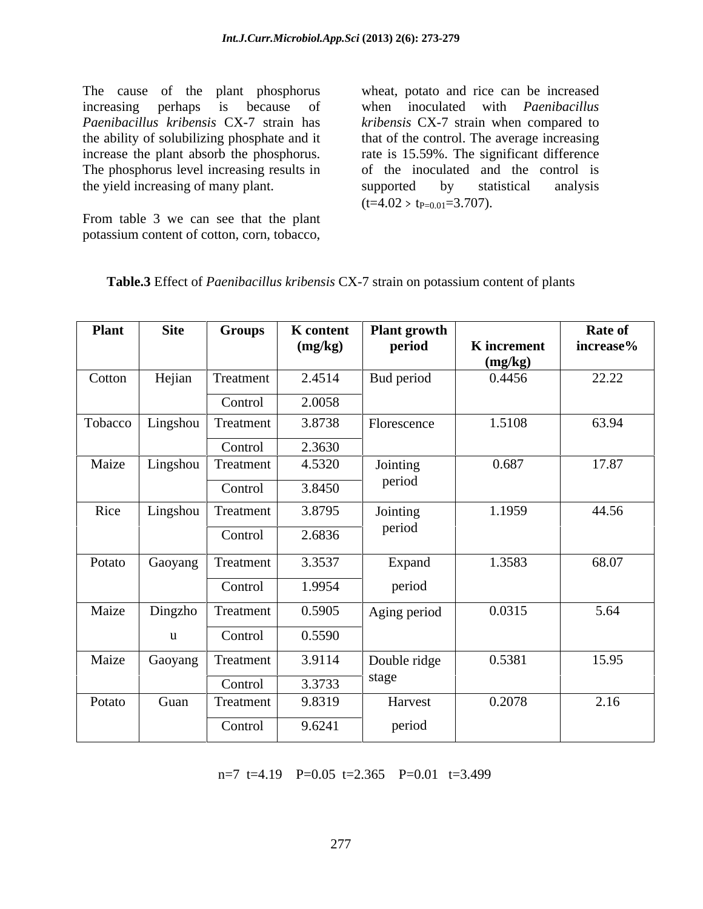The cause of the plant phosphorus increasing perhaps is because of when inoculated with *Paenibacillus Paenibacillus kribensis* CX-7 strain has *kribensis* CX-7 strain when compared to the ability of solubilizing phosphate and it that of the control. The average increasing increase the plant absorb the phosphorus. rate is 15.59%. The significant difference The phosphorus level increasing results in the yield increasing of many plant. Supported by statistical analysis

From table 3 we can see that the plant potassium content of cotton, corn, tobacco, wheat, potato and rice can be increased of the inoculated and the control is supported by statistical analysis  $(t=4.02 > t_{P=0.01}=3.707).$ 

| <b>Plant</b>                   | <b>Site</b> | <b>Groups</b> |         | $\parallel$ K content   Plant growth |             | <b>Rate of</b> |
|--------------------------------|-------------|---------------|---------|--------------------------------------|-------------|----------------|
|                                |             |               | (mg/kg) | period                               | K increment | increase%      |
|                                |             |               |         |                                      | (mg/kg)     |                |
| Cotton   Hejian   Treatment    |             |               | 2.4514  | Bud period                           | 0.4456      | 22.22          |
|                                |             | Control       | 2.0058  |                                      |             |                |
| Tobacco   Lingshou   Treatment |             |               | 3.8738  | Florescence                          | 1.5108      | 63.94          |
|                                |             | Control       | 2.3630  |                                      |             |                |
| Maize   Lingshou   Treatment   |             |               | 4.5320  | Jointing                             | 0.687       | 17.87          |
|                                |             | Control       | 3.8450  | period                               |             |                |
|                                |             |               |         |                                      |             |                |
| Rice   Lingshou   Treatment    |             |               | 3.8795  | Jointing<br>period                   | 1.1959      | 44.56          |
|                                |             | Control       | 2.6836  |                                      |             |                |
| Potato Gaoyang Treatment       |             |               | 3.3537  | Expand                               | 1.3583      | 68.07          |
|                                |             | Control       | 1.9954  | period                               |             |                |
|                                |             |               |         |                                      |             |                |
| Maize Dingzho Treatment        |             |               | 0.5905  | Aging period                         | 0.0315      | 5.64           |
|                                |             | Control       | 0.5590  |                                      |             |                |
| Maize Gaoyang                  |             | Treatment     | 3.9114  | Double ridge                         | 0.5381      | 15.95          |
|                                |             |               |         | stage                                |             |                |
|                                |             | Control       | 3.3733  |                                      |             |                |
| Potato                         | Guan        | Treatment     | 9.8319  | Harvest                              | 0.2078      | 2.16           |
|                                |             |               | 9.6241  | period                               |             |                |

**Table.3** Effect of *Paenibacillus kribensis* CX-7 strain on potassium content of plants

n=7 t=4.19 P=0.05 t=2.365 P=0.01 t=3.499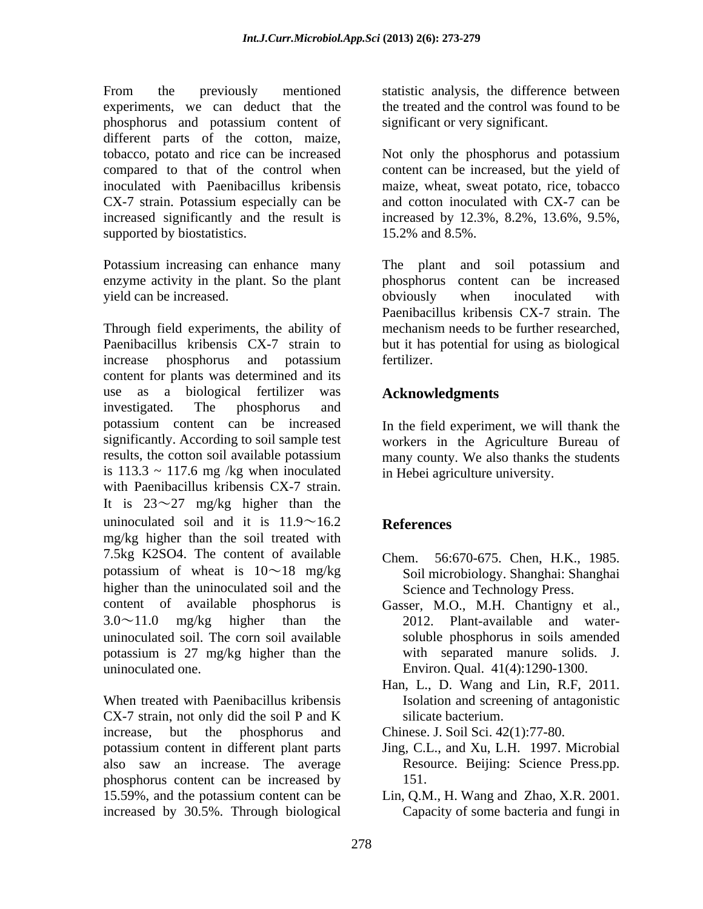From the previously mentioned statistic analysis, the difference between experiments, we can deduct that the phosphorus and potassium content of different parts of the cotton, maize, tobacco, potato and rice can be increased compared to that of the control when inoculated with Paenibacillus kribensis CX-7 strain. Potassium especially can be increased significantly and the result is increased by 12.3%, 8.2%, 13.6%, 9.5%, supported by biostatistics.

yield can be increased.  $\sim$  byiously when inoculated with

Through field experiments, the ability of mechanism needs to be further researched, Paenibacillus kribensis CX-7 strain to but it has potential for using as biological increase phosphorus and potassium content for plants was determined and its use as a biological fertilizer was **Acknowledgments** investigated. The phosphorus and potassium content can be increased In the field experiment, we will thank the significantly. According to soil sample test workers in the Agriculture Bureau of results, the cotton soil available potassium many county. We also thanks the students is  $113.3 \sim 117.6$  mg /kg when inoculated with Paenibacillus kribensis CX-7 strain. It is  $23^{\sim}27$  mg/kg higher than the uninoculated soil and it is  $11.9 \sim 16.2$  References mg/kg higher than the soil treated with 7.5kg K2SO4. The content of available Chem potassium of wheat is  $10 \sim 18$  mg/kg higher than the uninoculated soil and the content of available phosphorus is Gasser, M.O., M.H. Chantigny et al.,  $3.0 \sim 11.0$  mg/kg higher than the 2012. Plant-available and wateruninoculated soil. The corn soil available potassium is 27 mg/kg higher than the uninoculated one. Environ. Qual. 41(4):1290-1300.

When treated with Paenibacillus kribensis CX-7 strain, not only did the soil P and K increase, but the phosphorus and Chinese. J. Soil Sci. 42(1):77-80. potassium content in different plant parts also saw an increase. The average phosphorus content can be increased by 15.59%, and the potassium content can be Lin, Q.M., H. Wang and Zhao, X.R. 2001. increased by 30.5%. Through biological

the treated and the control was found to be significant or very significant.

Not only the phosphorus and potassium content can be increased, but the yield of maize, wheat, sweat potato, rice, tobacco and cotton inoculated with CX-7 can be 15.2% and 8.5%.

Potassium increasing can enhance many The plant and soil potassium and enzyme activity in the plant. So the plant phosphorus content can be increased obviously when inoculated with Paenibacillus kribensis CX-7 strain. The fertilizer.

# **Acknowledgments**

in Hebei agriculture university.

# **References**

- 56:670-675. Chen, H.K., 1985. Soil microbiology. Shanghai: Shanghai Science and Technology Press.
- soluble phosphorus in soils amended with separated manure solids. J.
- Han, L., D. Wang and Lin, R.F, 2011. Isolation and screening of antagonistic silicate bacterium.

- Jing, C.L., and Xu, L.H. 1997. Microbial Resource. Beijing: Science Press.pp. 151.
- Capacity of some bacteria and fungi in